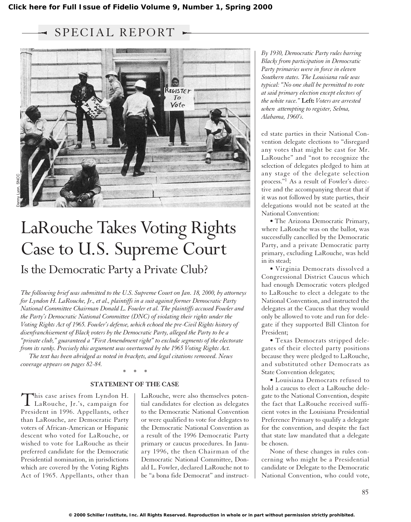SPECIAL REPORT  $\sim$ 



# LaRouche Takes Voting Rights Case to U.S. Supreme Court Is the Democratic Party a Private Club?

*The following brief was submitted to the U.S. Supreme Court on Jan. 18, 2000, by attorneys for Lyndon H. LaRouche, Jr., et al., plaintiffs in a suit against former Democratic Party National Committee Chairman Donald L. Fowler et al. The plaintiffs accused Fowler and the Party's Democratic National Committee (DNC) of violating their rights under the Voting Rights Act of 1965. Fowler's defense, which echoed the pre-Civil Rights history of disenfranchisement of Black voters by the Democratic Party, alleged the Party to be a "private club," guaranteed a "First Amendment right" to exclude segments of the electorate from its ranks. Precisely this argument was overturned by the 1965 Voting Rights Act.*

*The text has been abridged as noted in brackets, and legal citations removed. News coverage appears on pages 82-84.*

# *\*\*\** **STATEMENT OF THE CASE**

This case arises from Lyndon H. LaRouche, Jr.'s, campaign for President in 1996. Appellants, other than LaRouche, are Democratic Party voters of African-American or Hispanic descent who voted for LaRouche, or wished to vote for LaRouche as their preferred candidate for the Democratic Presidential nomination, in jurisdictions which are covered by the Voting Rights Act of 1965. Appellants, other than

LaRouche, were also themselves potential candidates for election as delegates to the Democratic National Convention or were qualified to vote for delegates to the Democratic National Convention as a result of the 1996 Democratic Party primary or caucus procedures. In January 1996, the then Chairman of the Democratic National Committee, Donald L. Fowler, declared LaRouche not to be "a bona fide Democrat" and instruct-

*By 1930, Democratic Party rules barring Blacks from participation in Democratic Party primaries were in force in eleven Southern states. The Louisiana rule was typical: "No one shall be permitted to vote at said primary election except electors of the white race."* **Left:** *Voters are arrested when attempting to register, Selma, Alabama, 1960's.*

ed state parties in their National Convention delegate elections to "disregard any votes that might be cast for Mr. LaRouche" and "not to recognize the selection of delegates pledged to him at any stage of the delegate selection process."1 As a result of Fowler's directive and the accompanying threat that if it was not followed by state parties, their delegations would not be seated at the National Convention:

• The Arizona Democratic Primary, where LaRouche was on the ballot, was successfully cancelled by the Democratic Party, and a private Democratic party primary, excluding LaRouche, was held in its stead;

• Virginia Democrats dissolved a Congressional District Caucus which had enough Democratic voters pledged to LaRouche to elect a delegate to the National Convention, and instructed the delegates at the Caucus that they would only be allowed to vote and run for delegate if they supported Bill Clinton for President;

• Texas Democrats stripped delegates of their elected party positions because they were pledged to LaRouche, and substituted other Democrats as State Convention delegates;

• Louisiana Democrats refused to hold a caucus to elect a LaRouche delegate to the National Convention, despite the fact that LaRouche received sufficient votes in the Louisiana Presidential Preference Primary to qualify a delegate for the convention, and despite the fact that state law mandated that a delegate be chosen.

None of these changes in rules concerning who might be a Presidential candidate or Delegate to the Democratic National Convention, who could vote,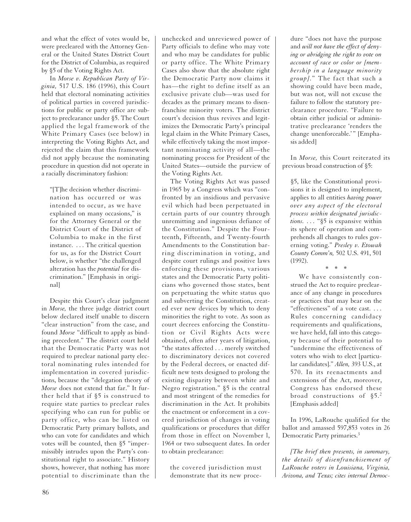and what the effect of votes would be, were precleared with the Attorney General or the United States District Court for the District of Columbia, as required by §5 of the Voting Rights Act.

In *Morse v. Republican Party of Virginia,* 517 U.S. 186 (1996), this Court held that electoral nominating activities of political parties in covered jurisdictions for public or party office are subject to preclearance under §5. The Court applied the legal framework of the White Primary Cases (see below) in interpreting the Voting Rights Act, and rejected the claim that this framework did not apply because the nominating procedure in question did not operate in a racially discriminatory fashion:

"[T]he decision whether discrimination has occurred or was intended to occur, as we have explained on many occasions," is for the Attorney General or the District Court of the District of Columbia to make in the first instance. . . . The critical question for us, as for the District Court below, is whether "the challenged alteration has the *potential* for discrimination." [Emphasis in original]

Despite this Court's clear judgment in *Morse,* the three judge district court below declared itself unable to discern "clear instruction" from the case, and found *Morse* "difficult to apply as binding precedent." The district court held that the Democratic Party was not required to preclear national party electoral nominating rules intended for implementation in covered jurisdictions, because the "delegation theory of *Morse* does not extend that far." It further held that if §5 is construed to require state parties to preclear rules specifying who can run for public or party office, who can be listed on Democratic Party primary ballots, and who can vote for candidates and which votes will be counted, then §5 "impermissibly intrudes upon the Party's constitutional right to associate." History shows, however, that nothing has more potential to discriminate than the unchecked and unreviewed power of Party officials to define who may vote and who may be candidates for public or party office. The White Primary Cases also show that the absolute right the Democratic Party now claims it has—the right to define itself as an exclusive private club—was used for decades as the primary means to disenfranchise minority voters. The district court's decision thus revives and legitimizes the Democratic Party's principal legal claim in the White Primary Cases, while effectively taking the most important nominating activity of all—the nominating process for President of the United States—outside the purview of the Voting Rights Act.

The Voting Rights Act was passed in 1965 by a Congress which was "confronted by an insidious and pervasive evil which had been perpetuated in certain parts of our country through unremitting and ingenious defiance of the Constitution." Despite the Fourteenth, Fifteenth, and Twenty-fourth Amendments to the Constitution barring discrimination in voting, and despite court rulings and positive laws enforcing these provisions, various states and the Democratic Party politicians who governed those states, bent on perpetuating the white status quo and subverting the Constitution, created ever new devices by which to deny minorities the right to vote. As soon as court decrees enforcing the Constitution or Civil Rights Acts were obtained, often after years of litigation, "the states affected . . . merely switched to discriminatory devices not covered by the Federal decrees, or enacted difficult new tests designed to prolong the existing disparity between white and Negro registration." §5 is the central and most stringent of the remedies for discrimination in the Act. It prohibits the enactment or enforcement in a covered jurisdiction of changes in voting qualifications or procedures that differ from those in effect on November l, 1964 or two subsequent dates. In order to obtain preclearance:

the covered jurisdiction must demonstrate that its new proce-

dure "does not have the purpose and *will not have the effect of denying or abridging the right to vote on account of race or color or [membership in a language minority group].*" The fact that such a showing could have been made, but was not, will not excuse the failure to follow the statutory preclearance procedure. "Failure to obtain either judicial or administrative preclearance 'renders the change unenforceable.'" [Emphasis added]

In *Morse,* this Court reiterated its previous broad construction of §5:

§5, like the Constitutional provisions it is designed to implement, applies to all entities *having power over any aspect of the electoral process within designated jurisdictions. . . .* "§5 is expansive within its sphere of operation and comprehends all changes to rules governing voting." *Presley v. Etowah County Comm'n,* 502 U.S. 491, 501 (1992). \*\*\*

We have consistently construed the Act to require preclearance of any change in procedures or practices that may bear on the "effectiveness" of a vote cast. *. . .* Rules concerning candidacy requirements and qualifications, we have held, fall into this category because of their potential to "undermine the effectiveness of voters who wish to elect [particular candidates]." *Allen,* 393 U.S., at 570. In its reenactments and extensions of the Act, moreover, Congress has endorsed these broad constructions of §5.<sup>2</sup> [Emphasis added]

In 1996, LaRouche qualified for the ballot and amassed 597,853 votes in 26 Democratic Party primaries.<sup>3</sup>

*[The brief then presents, in summary, the details of disenfranchisement of LaRouche voters in Louisiana, Virginia, Arizona, and Texas; cites internal Democ-*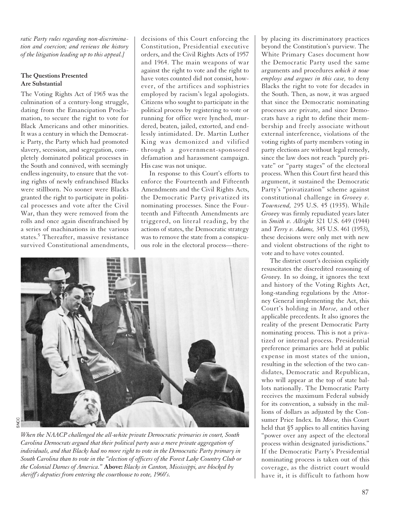*ratic Party rules regarding non-discrimination and coercion; and reviews the history of the litigation leading up to this appeal.]*

# **The Questions Presented Are Substantial**

The Voting Rights Act of 1965 was the culmination of a century-long struggle, dating from the Emancipation Proclamation, to secure the right to vote for Black Americans and other minorities. It was a century in which the Democratic Party, the Party which had promoted slavery, secession, and segregation, completely dominated political processes in the South and connived, with seemingly endless ingenuity, to ensure that the voting rights of newly enfranchised Blacks were stillborn. No sooner were Blacks granted the right to participate in political processes and vote after the Civil War, than they were removed from the rolls and once again disenfranchised by a series of machinations in the various states.<sup>5</sup> Thereafter, massive resistance survived Constitutional amendments, decisions of this Court enforcing the Constitution, Presidential executive orders, and the Civil Rights Acts of 1957 and 1964. The main weapons of war against the right to vote and the right to have votes counted did not consist, however, of the artifices and sophistries employed by racism's legal apologists. Citizens who sought to participate in the political process by registering to vote or running for office were lynched, murdered, beaten, jailed, extorted, and endlessly intimidated. Dr. Martin Luther King was demonized and vilified through a government-sponsored defamation and harassment campaign. His case was not unique.

In response to this Court's efforts to enforce the Fourteenth and Fifteenth Amendments and the Civil Rights Acts, the Democratic Party privatized its nominating processes. Since the Fourteenth and Fifteenth Amendments are triggered, on literal reading, by the actions of states, the Democratic strategy was to remove the state from a conspicuous role in the electoral process—there-



*When the NAACP challenged the all-white private Democratic primaries in court, South Carolina Democrats argued that their political party was a mere private aggregation of individuals, and that Blacks had no more right to vote in the Democratic Party primary in South Carolina than to vote in the "election of officers of the Forest Lake Country Club or the Colonial Dames of America."* **Above:** *Blacks in Canton, Mississippi, are blocked by sheriff's deputies from entering the courthouse to vote, 1960's.*

by placing its discriminatory practices beyond the Constitution's purview. The White Primary Cases document how the Democratic Party used the same arguments and procedures *which it now employs and argues in this case,* to deny Blacks the right to vote for decades in the South. Then, as now, it was argued that since the Democratic nominating processes are private, and since Democrats have a right to define their membership and freely associate without external interference, violations of the voting rights of party members voting in party elections are without legal remedy, since the law does not reach "purely private" or "party stages" of the electoral process. When this Court first heard this argument, it sustained the Democratic Party's "privatization" scheme against constitutional challenge in *Grovey v. Townsend,* 295 U.S. 45 (1935). While *Grovey* was firmly repudiated years later in *Smith v. Allright* 321 U.S. 649 (1944) and *Terry v. Adams,* 345 U.S. 461 (1953), these decisions were only met with new and violent obstructions of the right to vote and to have votes counted.

The district court's decision explicitly resuscitates the discredited reasoning of *Grovey.* In so doing, it ignores the text and history of the Voting Rights Act, long-standing regulations by the Attorney General implementing the Act, this Court's holding in *Morse,* and other applicable precedents. It also ignores the reality of the present Democratic Party nominating process. This is not a privatized or internal process. Presidential preference primaries are held at public expense in most states of the union, resulting in the selection of the two candidates, Democratic and Republican, who will appear at the top of state ballots nationally. The Democratic Party receives the maximum Federal subsidy for its convention, a subsidy in the millions of dollars as adjusted by the Consumer Price Index. In *Morse,* this Court held that §5 applies to all entities having "power over any aspect of the electoral process within designated jurisdictions." If the Democratic Party's Presidential nominating process is taken out of this coverage, as the district court would have it, it is difficult to fathom how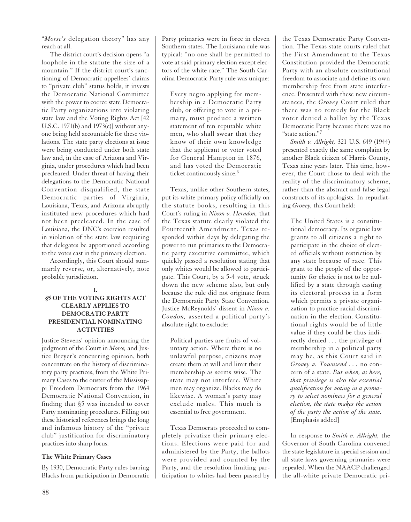"*Morse's* delegation theory" has any reach at all.

The district court's decision opens "a loophole in the statute the size of a mountain." If the district court's sanctioning of Democratic appellees' claims to "private club" status holds, it invests the Democratic National Committee with the power to coerce state Democratic Party organizations into violating state law and the Voting Rights Act [42 U.S.C. 1971(b) and 1973(c)] without anyone being held accountable for these violations. The state party elections at issue were being conducted under both state law and, in the case of Arizona and Virginia, under procedures which had been precleared. Under threat of having their delegations to the Democratic National Convention disqualified, the state Democratic parties of Virginia, Louisiana, Texas, and Arizona abruptly instituted new procedures which had not been precleared. In the case of Louisiana, the DNC's coercion resulted in violation of the state law requiring that delegates be apportioned according to the votes cast in the primary election.

Accordingly, this Court should summarily reverse, or, alternatively, note probable jurisdiction.

#### **I.**

# **§5 OF THE VOTING RIGHTS ACT CLEARLY APPLIES TO DEMOCRATIC PARTY PRESIDENTIAL NOMINATING ACTIVITIES**

Justice Stevens' opinion announcing the judgment of the Court in *Morse,* and Justice Breyer's concurring opinion, both concentrate on the history of discriminatory party practices, from the White Primary Cases to the ouster of the Mississippi Freedom Democrats from the 1964 Democratic National Convention, in finding that §5 was intended to cover Party nominating procedures. Filling out these historical references brings the long and infamous history of the "private club" justification for discriminatory practices into sharp focus.

#### **The White Primary Cases**

By 1930, Democratic Party rules barring Blacks from participation in Democratic Party primaries were in force in eleven Southern states. The Louisiana rule was typical: "no one shall be permitted to vote at said primary election except electors of the white race." The South Carolina Democratic Party rule was unique:

Every negro applying for membership in a Democratic Party club, or offering to vote in a primary, must produce a written statement of ten reputable white men, who shall swear that they know of their own knowledge that the applicant or voter voted for General Hampton in 1876, and has voted the Democratic ticket continuously since.<sup>6</sup>

Texas, unlike other Southern states, put its white primary policy officially on the statute books, resulting in this Court's ruling in *Nixon v. Herndon,* that the Texas statute clearly violated the Fourteenth Amendment. Texas responded within days by delegating the power to run primaries to the Democratic party executive committee, which quickly passed a resolution stating that only whites would be allowed to participate. This Court, by a 5-4 vote, struck down the new scheme also, but only because the rule did not originate from the Democratic Party State Convention. Justice McReynolds' dissent in *Nixon v. Condon,* asserted a political party's absolute right to exclude:

Political parties are fruits of voluntary action. Where there is no unlawful purpose, citizens may create them at will and limit their membership as seems wise. The state may not interfere. White men may organize. Blacks may do likewise. A woman's party may exclude males. This much is essential to free government.

Texas Democrats proceeded to completely privatize their primary elections. Elections were paid for and administered by the Party, the ballots were provided and counted by the Party, and the resolution limiting participation to whites had been passed by the Texas Democratic Party Convention. The Texas state courts ruled that the First Amendment to the Texas Constitution provided the Democratic Party with an absolute constitutional freedom to associate and define its own membership free from state interference. Presented with these new circumstances, the *Grovey* Court ruled that there was no remedy for the Black voter denied a ballot by the Texas Democratic Party because there was no "state action."<sup>7</sup>

*Smith v. Allright,* 321 U.S. 649 (1944) presented exactly the same complaint by another Black citizen of Harris County, Texas nine years later. This time, however, the Court chose to deal with the reality of the discriminatory scheme, rather than the abstract and false legal constructs of its apologists. In repudiating *Grovey,* this Court held:

The United States is a constitutional democracy. Its organic law grants to all citizens a right to participate in the choice of elected officials without restriction by any state because of race. This grant to the people of the opportunity for choice is not to be nullified by a state through casting its electoral process in a form which permits a private organization to practice racial discrimination in the election. Constitutional rights would be of little value if they could be thus indirectly denied *...* the privilege of membership in a political party may be, as this Court said in *Grovey v. Townsend . . .* no concern of a state. *But when, as here, that privilege is also the essential qualification for voting in a primary to select nominees for a general election, the state makes the action of the party the action of the state.* [Emphasis added]

In response to *Smith v. Allright,* the Governor of South Carolina convened the state legislature in special session and all state laws governing primaries were repealed. When the NAACP challenged the all-white private Democratic pri-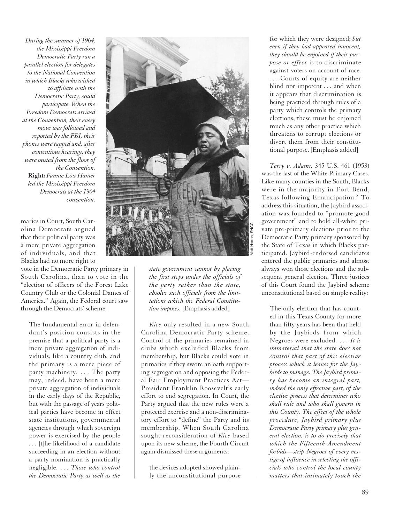*During the summer of 1964, the Mississippi Freedom Democratic Party ran a parallel election for delegates to the National Convention in which Blacks who wished to affiliate with the Democratic Party, could participate. When the Freedom Democrats arrived at the Convention, their every move was followed and reported by the FBI, their phones were tapped and, after contentious hearings, they were ousted from the floor of the Convention.*  **Right:** *Fannie Lou Hamer led the Mississippi Freedom Democrats at the 1964 convention.*

maries in Court, South Carolina Democrats argued that their political party was a mere private aggregation of individuals, and that Blacks had no more right to

vote in the Democratic Party primary in South Carolina, than to vote in the "election of officers of the Forest Lake Country Club or the Colonial Dames of America." Again, the Federal court saw through the Democrats' scheme:

The fundamental error in defendant's position consists in the premise that a political party is a mere private aggregation of individuals, like a country club, and the primary is a mere piece of party machinery. *...* The party may, indeed, have been a mere private aggregation of individuals in the early days of the Republic, but with the passage of years political parties have become in effect state institutions, governmental agencies through which sovereign power is exercised by the people *...* [t]he likelihood of a candidate succeeding in an election without a party nomination is practically negligible. *. . . Those who control the Democratic Party as well as the*



*state government cannot by placing the first steps under the officials of the party rather than the state, absolve such officials from the limitations which the Federal Constitution imposes.* [Emphasis added]

*Rice* only resulted in a new South Carolina Democratic Party scheme. Control of the primaries remained in clubs which excluded Blacks from membership, but Blacks could vote in primaries if they swore an oath supporting segregation and opposing the Federal Fair Employment Practices Act— President Franklin Roosevelt's early effort to end segregation. In Court, the Party argued that the new rules were a protected exercise and a non-discriminatory effort to "define" the Party and its membership. When South Carolina sought reconsideration of *Rice* based upon its new scheme, the Fourth Circuit again dismissed these arguments:

the devices adopted showed plainly the unconstitutional purpose

for which they were designed; *but even if they had appeared innocent, they should be enjoined if their purpose or effect* is to discriminate against voters on account of race. *...* Courts of equity are neither blind nor impotent *...* and when it appears that discrimination is being practiced through rules of a party which controls the primary elections, these must be enjoined much as any other practice which threatens to corrupt elections or divert them from their constitutional purpose. [Emphasis added]

*Terry v. Adams,* 345 U.S. 461 (1953) was the last of the White Primary Cases. Like many counties in the South, Blacks were in the majority in Fort Bend, Texas following Emancipation.<sup>8</sup> To address this situation, the Jaybird association was founded to "promote good government" and to hold all-white private pre-primary elections prior to the Democratic Party primary sponsored by the State of Texas in which Blacks participated. Jaybird-endorsed candidates entered the public primaries and almost always won those elections and the subsequent general election. Three justices of this Court found the Jaybird scheme unconstitutional based on simple reality:

The only election that has counted in this Texas County for more than fifty years has been that held by the Jaybirds from which Negroes were excluded. *. . . It is immaterial that the state does not control that part of this elective process which it leaves for the Jaybirds to manage. The Jaybird primary has become an integral part, indeed the only effective part, of the elective process that determines who shall rule and who shall govern in this County. The effect of the whole procedure, Jaybird primary plus Democratic Party primary plus general election, is to do precisely that which the Fifteenth Amendment forbids—strip Negroes of every vestige of influence in selecting the officials who control the local county matters that intimately touch the*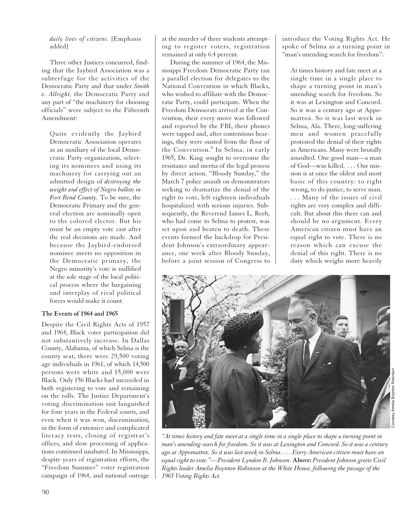*daily lives of citizens.* [Emphasis added]

Three other Justices concurred, finding that the Jaybird Association was a subterfuge for the activities of the Democratic Party and that under *Smith v. Allright,* the Democratic Party and any part of "the machinery for choosing officials" were subject to the Fifteenth Amendment:

Quite evidently the Jaybird Democratic Association operates as an auxiliary of the local Democratic Party organization, selecting its nominees and using its machinery for carrying out an admitted design of *destroying the weight and effect of Negro ballots in Fort Bend County.* To be sure, the Democratic Primary and the general election are nominally open to the colored elector. But his must be an empty vote cast after the real decisions are made. And because the Jaybird-endorsed nominee meets no opposition in the Democratic primary, the Negro minority's vote is nullified at the sole stage of the local political process where the bargaining and interplay of rival political forces would make it count.

## **The Events of 1964 and 1965**

Despite the Civil Rights Acts of 1957 and 1964, Black voter participation did not substantively increase. In Dallas County, Alabama, of which Selma is the county seat, there were 29,500 voting age individuals in 1961, of which 14,500 persons were white and 15,000 were Black. Only 156 Blacks had succeeded in both registering to vote and remaining on the rolls. The Justice Department's voting discrimination suit languished for four years in the Federal courts, and even when it was won, discrimination, in the form of extensive and complicated literacy tests, closing of registrar's offices, and slow processing of applications continued unabated. In Mississippi, despite years of registration efforts, the "Freedom Summer" voter registration campaign of 1964, and national outrage

at the murder of three students attempting to register voters, registration remained at only 6.4 percent.

During the summer of 1964, the Mississippi Freedom Democratic Party ran a parallel election for delegates to the National Convention in which Blacks, who wished to affiliate with the Democratic Party, could participate. When the Freedom Democrats arrived at the Convention, their every move was followed and reported by the FBI, their phones were tapped and, after contentious hearings, they were ousted from the floor of the Convention.<sup>9</sup> In Selma, in early 1965, Dr. King sought to overcome the resistance and inertia of the legal process by direct action. "Bloody Sunday," the March 7 police assault on demonstrators seeking to dramatize the denial of the right to vote, left eighteen individuals hospitalized with serious injuries. Subsequently, the Reverend James L. Reeb, who had come to Selma to protest, was set upon and beaten to death. These events formed the backdrop for President Johnson's extraordinary appearance, one week after Bloody Sunday, before a joint session of Congress to introduce the Voting Rights Act. He spoke of Selma as a turning point in "man's unending search for freedom":

At times history and fate meet at a single time in a single place to shape a turning point in man's unending search for freedom. So it was at Lexington and Concord. So it was a century ago at Appomattox. So it was last week in Selma, Ala. There, long-suffering men and women peacefully protested the denial of their rights as Americans. Many were brutally assaulted. One good man—a man of God—was killed. . . . Our mission is at once the oldest and most basic of this country: to right wrong, to do justice, to serve man. . . . Many of the issues of civil rights are very complex and difficult. But about this there can and should be no argument. Every American citizen must have an equal right to vote. There is no reason which can excuse the denial of this right. There is no duty which weighs more heavily



*"At times history and fate meet at a single time in a single place to shape a turning point in man's unending search for freedom. So it was at Lexington and Concord. So it was a century ago at Appomattox. So it was last week in Selma. . . . Every American citizen must have an equal right to vote."—President Lyndon B. Johnson.* **Above:** *President Johnson greets Civil Rights leader Amelia Boynton Robinson at the White House, following the passage of the 1965 Voting Rights Act.*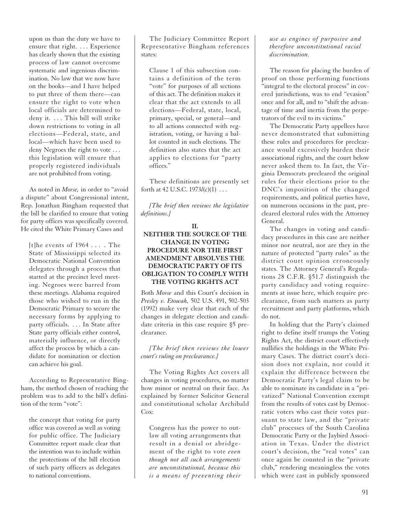upon us than the duty we have to ensure that right. . . . Experience has clearly shown that the existing process of law cannot overcome systematic and ingenious discrimination. No law that we now have on the books—and I have helped to put three of them there—can ensure the right to vote when local officials are determined to deny it. . . . This bill will strike down restrictions to voting in all elections—Federal, state, and local—which have been used to deny Negroes the right to vote ... this legislation will ensure that properly registered individuals are not prohibited from voting.

As noted in *Morse,* in order to "avoid a dispute" about Congressional intent, Rep. Jonathan Bingham requested that the bill be clarified to ensure that voting for party offices was specifically covered. He cited the White Primary Cases and

[t]he events of 1964 . . . . The State of Mississippi selected its Democratic National Convention delegates through a process that started at the precinct level meeting. Negroes were barred from these meetings. Alabama required those who wished to run in the Democratic Primary to secure the necessary forms by applying to party officials. . . . In State after State party officials either control, materially influence, or directly affect the process by which a candidate for nomination or election can achieve his goal.

According to Representative Bingham, the method chosen of reaching the problem was to add to the bill's definition of the term "vote":

the concept that voting for party office was covered as well as voting for public office. The Judiciary Committee report made clear that the intention was to include within the protections of the bill election of such party officers as delegates to national conventions.

The Judiciary Committee Report Representative Bingham references states:

Clause 1 of this subsection contains a definition of the term "vote" for purposes of all sections of this act. The definition makes it clear that the act extends to all elections—Federal, state, local, primary, special, or general—and to all actions connected with registration, voting, or having a ballot counted in such elections. The definition also states that the act applies to elections for "party offices."

These definitions are presently set forth at 42 U.S.C. 1973*l*(c)(1) . . .

*[The brief then reviews the legislative definitions.]*

#### **II.**

# **NEITHER THE SOURCE OF THE CHANGE IN VOTING PROCEDURE NOR THE FIRST AMENDMENT ABSOLVES THE DEMOCRATIC PARTY OF ITS OBLIGATION TO COMPLY WITH THE VOTING RIGHTS ACT**

Both *Morse* and this Court's decision in *Presley v. Etowah,* 502 U.S. 491, 502-503 (1992) make very clear that each of the changes in delegate election and candidate criteria in this case require §5 preclearance.

# *[The brief then reviews the lower court's ruling on preclearance.]*

The Voting Rights Act covers all changes in voting procedures, no matter how minor or neutral on their face. As explained by former Solicitor General and constitutional scholar Archibald  $Cov$ 

Congress has the power to outlaw all voting arrangements that result in a denial or abridgement of the right to vote *even though not all such arrangements are unconstitutional, because this is a means of preventing their* 

# *use as engines of purposive and therefore unconstitutional racial discrimination.*

The reason for placing the burden of proof on those performing functions "integral to the electoral process" in covered jurisdictions, was to end "evasion" once and for all, and to "shift the advantage of time and inertia from the perpetrators of the evil to its victims."

The Democratic Party appellees have never demonstrated that submitting these rules and procedures for preclearance would excessively burden their associational rights, and the court below never asked them to. In fact, the Virginia Democrats precleared the original rules for their elections prior to the DNC's imposition of the changed requirements, and political parties have, on numerous occasions in the past, precleared electoral rules with the Attorney General.

The changes in voting and candidacy procedures in this case are neither minor nor neutral, nor are they in the nature of protected "party rules" as the district court opinion erroneously states. The Attorney General's Regulations 28 C.F.R. §51.7 distinguish the party candidacy and voting requirements at issue here, which require preclearance, from such matters as party recruitment and party platforms, which do not.

In holding that the Party's claimed right to define itself trumps the Voting Rights Act, the district court effectively nullifies the holdings in the White Primary Cases. The district court's decision does not explain, nor could it explain the difference between the Democratic Party's legal claim to be able to nominate its candidate in a "privatized" National Convention exempt from the results of votes cast by Democratic voters who cast their votes pursuant to state law, and the "private club" processes of the South Carolina Democratic Party or the Jaybird Association in Texas. Under the district court's decision, the "real votes" can once again be counted in the "private club," rendering meaningless the votes which were cast in publicly sponsored